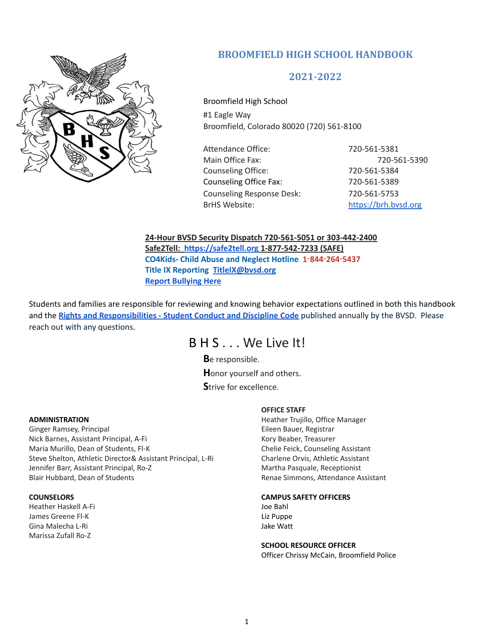

# **BROOMFIELD HIGH SCHOOL HANDBOOK**

## **2021-2022**

Broomfield High School #1 Eagle Way Broomfield, Colorado 80020 (720) 561-8100

Attendance Office: 720-561-5381 Main Office Fax: 720-561-5390 Counseling Office: 720-561-5384 Counseling Office Fax: 720-561-5389 Counseling Response Desk: 720-561-5753 BrHS Website: <https://brh.bvsd.org>

**24-Hour BVSD Security Dispatch 720-561-5051 or 303-442-2400 Safe2Tell: <https://safe2tell.org> 1-877-542-7233 (SAFE) [CO4Kids-](http://www.co4kids.org/) Child Abuse and Neglect Hotline 1**‑**844**‑**264**‑**5437 Title IX [Reporting](https://www.bvsd.org/fs/pages/5509) [TitleIX@bvsd.org](mailto:TitleIX@bvsd.org) Report [Bullying](https://app.smartsheet.com/b/form/628cf6ba6f304c6cad6a78fa584196a8) Here**

Students and families are responsible for reviewing and knowing behavior expectations outlined in both this handbook and the **Rights and [Responsibilities](https://www.bvsd.org/parents-students/student-rights-and-responsibilities) - Student Conduct and Discipline Code** published annually by the BVSD. Please reach out with any questions.

# B H S . . . We Live It!

**B**e responsible. **H**onor yourself and others. **S**trive for excellence.

#### **ADMINISTRATION**

Ginger Ramsey, Principal Nick Barnes, Assistant Principal, A-Fi Maria Murillo, Dean of Students, Fl-K Steve Shelton, Athletic Director& Assistant Principal, L-Ri Jennifer Barr, Assistant Principal, Ro-Z Blair Hubbard, Dean of Students

#### **COUNSELORS**

Heather Haskell A-Fi James Greene Fl-K Gina Malecha L-Ri Marissa Zufall Ro-Z

#### **OFFICE STAFF**

Heather Trujillo, Office Manager Eileen Bauer, Registrar Kory Beaber, Treasurer Chelie Feick, Counseling Assistant Charlene Orvis, Athletic Assistant Martha Pasquale, Receptionist Renae Simmons, Attendance Assistant

#### **CAMPUS SAFETY OFFICERS**

Joe Bahl Liz Puppe Jake Watt

#### **SCHOOL RESOURCE OFFICER**

Officer Chrissy McCain, Broomfield Police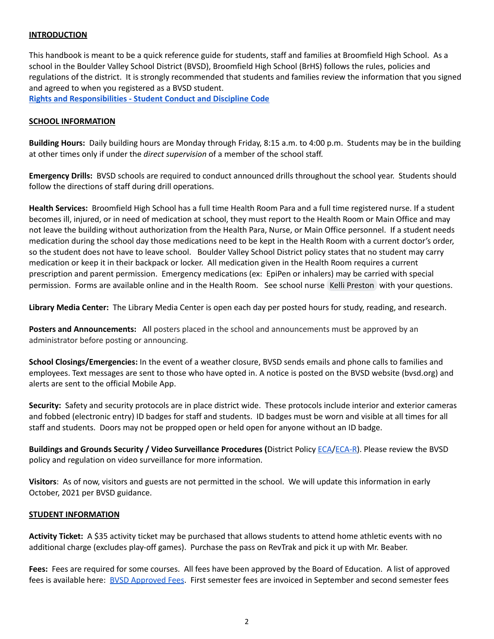## **INTRODUCTION**

This handbook is meant to be a quick reference guide for students, staff and families at Broomfield High School. As a school in the Boulder Valley School District (BVSD), Broomfield High School (BrHS) follows the rules, policies and regulations of the district. It is strongly recommended that students and families review the information that you signed and agreed to when you registered as a BVSD student.

**Rights and [Responsibilities](https://www.bvsd.org/parents-students/student-rights-and-responsibilities) - Student Conduct and Discipline Code**

#### **SCHOOL INFORMATION**

**Building Hours:** Daily building hours are Monday through Friday, 8:15 a.m. to 4:00 p.m. Students may be in the building at other times only if under the *direct supervision* of a member of the school staff.

**Emergency Drills:** BVSD schools are required to conduct announced drills throughout the school year. Students should follow the directions of staff during drill operations.

**Health Services:** Broomfield High School has a full time Health Room Para and a full time registered nurse. If a student becomes ill, injured, or in need of medication at school, they must report to the Health Room or Main Office and may not leave the building without authorization from the Health Para, Nurse, or Main Office personnel. If a student needs medication during the school day those medications need to be kept in the Health Room with a current doctor's order, so the student does not have to leave school. Boulder Valley School District policy states that no student may carry medication or keep it in their backpack or locker. All medication given in the Health Room requires a current prescription and parent permission. Emergency medications (ex: EpiPen or inhalers) may be carried with special permission. Forms are available online and in the Health Room. See school nurse Kelli [Preston](mailto:kelli.preston@bvsd.org) with your questions.

**Library Media Center:** The Library Media Center is open each day per posted hours for study, reading, and research.

**Posters and Announcements:** All posters placed in the school and announcements must be approved by an administrator before posting or announcing.

**School Closings/Emergencies:** In the event of a weather closure, BVSD sends emails and phone calls to families and employees. Text messages are sent to those who have opted in. A notice is posted on the BVSD website (bvsd.org) and alerts are sent to the official Mobile App.

**Security:** Safety and security protocols are in place district wide. These protocols include interior and exterior cameras and fobbed (electronic entry) ID badges for staff and students. ID badges must be worn and visible at all times for all staff and students. Doors may not be propped open or held open for anyone without an ID badge.

**Buildings and Grounds Security / Video Surveillance Procedures (**District Policy [ECA/](https://resources.finalsite.net/images/v1559688011/bvsdorg/akvhhzuf1z5vtteh66jh/ECA.pdf)[ECA-R\)](https://resources.finalsite.net/images/v1559688013/bvsdorg/ejce6km0cotxtdg0kw1s/ECA-R.pdf). Please review the BVSD policy and regulation on video surveillance for more information.

**Visitors**: As of now, visitors and guests are not permitted in the school. We will update this information in early October, 2021 per BVSD guidance.

## **STUDENT INFORMATION**

**Activity Ticket:** A \$35 activity ticket may be purchased that allows students to attend home athletic events with no additional charge (excludes play-off games). Purchase the pass on RevTrak and pick it up with Mr. Beaber.

**Fees:** Fees are required for some courses. All fees have been approved by the Board of Education. A list of approved fees is available here: **BVSD [Approved](https://resources.finalsite.net/images/v1628251714/bvsdorg/v2cj79v2x2ec4azcxpia/CurrentSchoolYearFeesList.pdf) Fees.** First semester fees are invoiced in September and second semester fees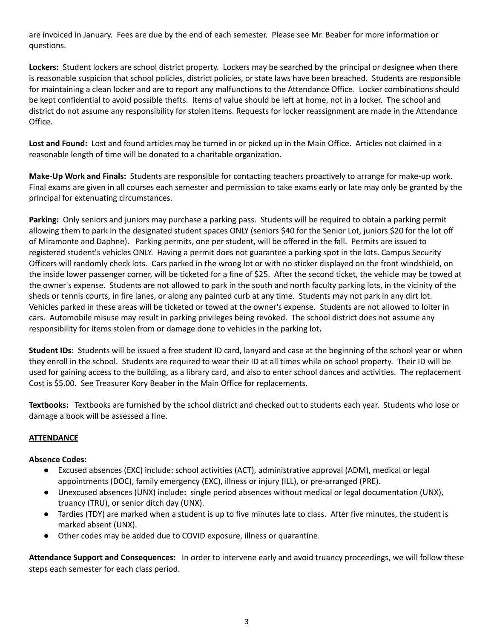are invoiced in January. Fees are due by the end of each semester. Please see Mr. Beaber for more information or questions.

**Lockers:** Student lockers are school district property. Lockers may be searched by the principal or designee when there is reasonable suspicion that school policies, district policies, or state laws have been breached. Students are responsible for maintaining a clean locker and are to report any malfunctions to the Attendance Office. Locker combinations should be kept confidential to avoid possible thefts. Items of value should be left at home, not in a locker. The school and district do not assume any responsibility for stolen items. Requests for locker reassignment are made in the Attendance Office.

**Lost and Found:** Lost and found articles may be turned in or picked up in the Main Office. Articles not claimed in a reasonable length of time will be donated to a charitable organization.

**Make-Up Work and Finals:** Students are responsible for contacting teachers proactively to arrange for make-up work. Final exams are given in all courses each semester and permission to take exams early or late may only be granted by the principal for extenuating circumstances.

**Parking:** Only seniors and juniors may purchase a parking pass. Students will be required to obtain a parking permit allowing them to park in the designated student spaces ONLY (seniors \$40 for the Senior Lot, juniors \$20 for the lot off of Miramonte and Daphne). Parking permits, one per student, will be offered in the fall. Permits are issued to registered student's vehicles ONLY. Having a permit does not guarantee a parking spot in the lots. Campus Security Officers will randomly check lots. Cars parked in the wrong lot or with no sticker displayed on the front windshield, on the inside lower passenger corner, will be ticketed for a fine of \$25. After the second ticket, the vehicle may be towed at the owner's expense. Students are not allowed to park in the south and north faculty parking lots, in the vicinity of the sheds or tennis courts, in fire lanes, or along any painted curb at any time. Students may not park in any dirt lot. Vehicles parked in these areas will be ticketed or towed at the owner's expense. Students are not allowed to loiter in cars. Automobile misuse may result in parking privileges being revoked. The school district does not assume any responsibility for items stolen from or damage done to vehicles in the parking lot**.**

**Student IDs:** Students will be issued a free student ID card, lanyard and case at the beginning of the school year or when they enroll in the school. Students are required to wear their ID at all times while on school property. Their ID will be used for gaining access to the building, as a library card, and also to enter school dances and activities. The replacement Cost is \$5.00. See Treasurer Kory Beaber in the Main Office for replacements.

**Textbooks:** Textbooks are furnished by the school district and checked out to students each year. Students who lose or damage a book will be assessed a fine.

## **ATTENDANCE**

## **Absence Codes:**

- Excused absences (EXC) include: school activities (ACT), administrative approval (ADM), medical or legal appointments (DOC), family emergency (EXC), illness or injury (ILL), or pre-arranged (PRE).
- Unexcused absences (UNX) include**:** single period absences without medical or legal documentation (UNX), truancy (TRU), or senior ditch day (UNX).
- Tardies (TDY) are marked when a student is up to five minutes late to class. After five minutes, the student is marked absent (UNX).
- Other codes may be added due to COVID exposure, illness or quarantine.

**Attendance Support and Consequences:** In order to intervene early and avoid truancy proceedings, we will follow these steps each semester for each class period.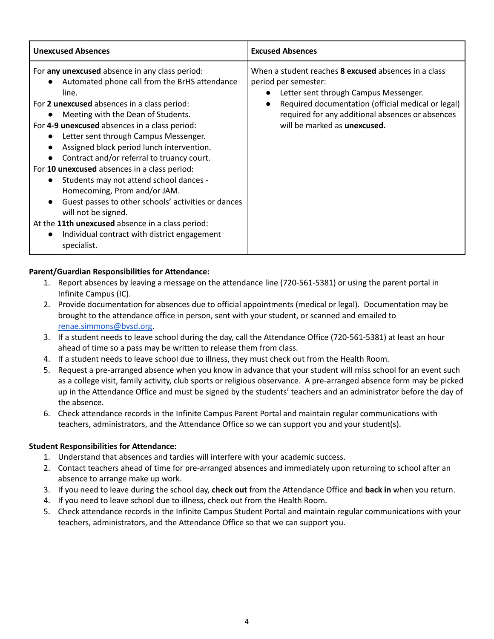| <b>Unexcused Absences</b>                                                                                                                                                                                                                                                                                                                                                                                                                                                                                                                                                                                                                                                                                                                | <b>Excused Absences</b>                                                                                                                                                                                                                                                       |
|------------------------------------------------------------------------------------------------------------------------------------------------------------------------------------------------------------------------------------------------------------------------------------------------------------------------------------------------------------------------------------------------------------------------------------------------------------------------------------------------------------------------------------------------------------------------------------------------------------------------------------------------------------------------------------------------------------------------------------------|-------------------------------------------------------------------------------------------------------------------------------------------------------------------------------------------------------------------------------------------------------------------------------|
| For any unexcused absence in any class period:<br>Automated phone call from the BrHS attendance<br>line.<br>For 2 unexcused absences in a class period:<br>Meeting with the Dean of Students.<br>$\bullet$<br>For 4-9 unexcused absences in a class period:<br>Letter sent through Campus Messenger.<br>Assigned block period lunch intervention.<br>Contract and/or referral to truancy court.<br>For 10 unexcused absences in a class period:<br>Students may not attend school dances -<br>Homecoming, Prom and/or JAM.<br>Guest passes to other schools' activities or dances<br>will not be signed.<br>At the 11th unexcused absence in a class period:<br>Individual contract with district engagement<br>$\bullet$<br>specialist. | When a student reaches <b>8 excused</b> absences in a class<br>period per semester:<br>Letter sent through Campus Messenger.<br>Required documentation (official medical or legal)<br>required for any additional absences or absences<br>will be marked as <b>unexcused.</b> |

## **Parent/Guardian Responsibilities for Attendance:**

- 1. Report absences by leaving a message on the attendance line (720-561-5381) or using the parent portal in Infinite Campus (IC).
- 2. Provide documentation for absences due to official appointments (medical or legal). Documentation may be brought to the attendance office in person, sent with your student, or scanned and emailed to [renae.simmons@bvsd.org.](mailto:renae.simmons@bvsd.org)
- 3. If a student needs to leave school during the day, call the Attendance Office (720-561-5381) at least an hour ahead of time so a pass may be written to release them from class.
- 4. If a student needs to leave school due to illness, they must check out from the Health Room.
- 5. Request a pre-arranged absence when you know in advance that your student will miss school for an event such as a college visit, family activity, club sports or religious observance. A pre-arranged absence form may be picked up in the Attendance Office and must be signed by the students' teachers and an administrator before the day of the absence.
- 6. Check attendance records in the Infinite Campus Parent Portal and maintain regular communications with teachers, administrators, and the Attendance Office so we can support you and your student(s).

## **Student Responsibilities for Attendance:**

- 1. Understand that absences and tardies will interfere with your academic success.
- 2. Contact teachers ahead of time for pre-arranged absences and immediately upon returning to school after an absence to arrange make up work.
- 3. If you need to leave during the school day, **check out** from the Attendance Office and **back in** when you return.
- 4. If you need to leave school due to illness, check out from the Health Room.
- 5. Check attendance records in the Infinite Campus Student Portal and maintain regular communications with your teachers, administrators, and the Attendance Office so that we can support you.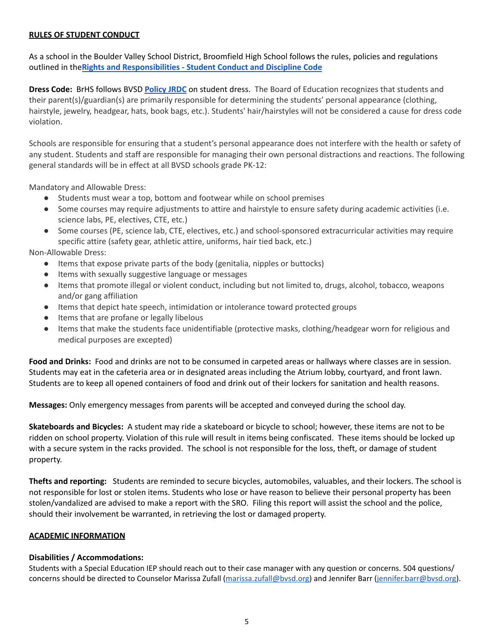### **RULES OF STUDENT CONDUCT**

As a school in the Boulder Valley School District, Broomfield High School follows the rules, policies and regulations outlined in the**Rights and [Responsibilities](https://www.bvsd.org/parents-students/student-rights-and-responsibilities) - Student Conduct and Discipline Code**

**Dress Code:** BrHS follows BVSD **[Policy](https://www.bvsd.org/about/board-of-education/policies/policy/~board/j-policies/post/student-dress) JRDC** on student dress. The Board of Education recognizes that students and their parent(s)/guardian(s) are primarily responsible for determining the students' personal appearance (clothing, hairstyle, jewelry, headgear, hats, book bags, etc.). Students' hair/hairstyles will not be considered a cause for dress code violation.

Schools are responsible for ensuring that a student's personal appearance does not interfere with the health or safety of any student. Students and staff are responsible for managing their own personal distractions and reactions. The following general standards will be in effect at all BVSD schools grade PK-12:

Mandatory and Allowable Dress:

- Students must wear a top, bottom and footwear while on school premises
- Some courses may require adjustments to attire and hairstyle to ensure safety during academic activities (i.e. science labs, PE, electives, CTE, etc.)
- Some courses (PE, science lab, CTE, electives, etc.) and school-sponsored extracurricular activities may require specific attire (safety gear, athletic attire, uniforms, hair tied back, etc.)

Non-Allowable Dress:

- Items that expose private parts of the body (genitalia, nipples or buttocks)
- Items with sexually suggestive language or messages
- Items that promote illegal or violent conduct, including but not limited to, drugs, alcohol, tobacco, weapons and/or gang affiliation
- Items that depict hate speech, intimidation or intolerance toward protected groups
- Items that are profane or legally libelous
- Items that make the students face unidentifiable (protective masks, clothing/headgear worn for religious and medical purposes are excepted)

**Food and Drinks:** Food and drinks are not to be consumed in carpeted areas or hallways where classes are in session. Students may eat in the cafeteria area or in designated areas including the Atrium lobby, courtyard, and front lawn. Students are to keep all opened containers of food and drink out of their lockers for sanitation and health reasons.

**Messages:** Only emergency messages from parents will be accepted and conveyed during the school day.

**Skateboards and Bicycles:** A student may ride a skateboard or bicycle to school; however, these items are not to be ridden on school property. Violation of this rule will result in items being confiscated. These items should be locked up with a secure system in the racks provided. The school is not responsible for the loss, theft, or damage of student property.

**Thefts and reporting:** Students are reminded to secure bicycles, automobiles, valuables, and their lockers. The school is not responsible for lost or stolen items. Students who lose or have reason to believe their personal property has been stolen/vandalized are advised to make a report with the SRO. Filing this report will assist the school and the police, should their involvement be warranted, in retrieving the lost or damaged property.

#### **ACADEMIC INFORMATION**

#### **Disabilities / Accommodations:**

Students with a Special Education IEP should reach out to their case manager with any question or concerns. 504 questions/ concerns should be directed to Counselor Marissa Zufall ([marissa.zufall@bvsd.org\)](mailto:marissa.zufall@bvsd.org) and Jennifer Barr [\(jennifer.barr@bvsd.org\)](mailto:jennifer.barr@bvsd.org).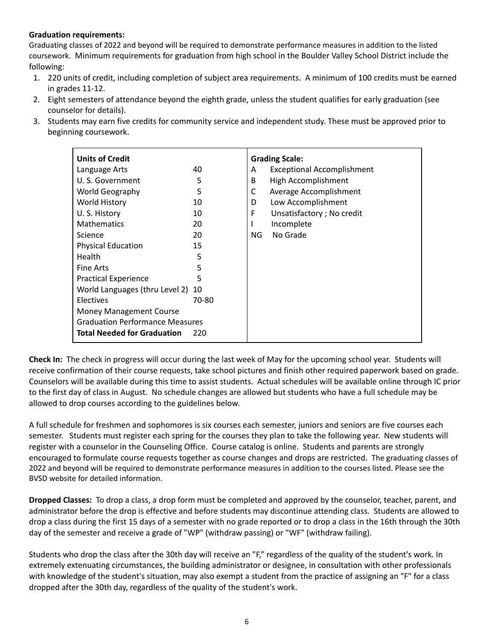## **Graduation requirements:**

Graduating classes of 2022 and beyond will be required to demonstrate performance measures in addition to the listed coursework. Minimum requirements for graduation from high school in the Boulder Valley School District include the following:

- 1. 220 units of credit, including completion of subject area requirements. A minimum of 100 credits must be earned in grades 11-12.
- 2. Eight semesters of attendance beyond the eighth grade, unless the student qualifies for early graduation (see counselor for details).
- 3. Students may earn five credits for community service and independent study. These must be approved prior to beginning coursework.

| <b>Units of Credit</b>                 |       | <b>Grading Scale:</b>                  |
|----------------------------------------|-------|----------------------------------------|
| Language Arts                          | 40    | <b>Exceptional Accomplishment</b><br>A |
| U.S. Government                        | 5     | High Accomplishment<br>B               |
| World Geography                        | 5     | C<br>Average Accomplishment            |
| <b>World History</b>                   | 10    | Low Accomplishment<br>D                |
| U.S. History                           | 10    | F<br>Unsatisfactory; No credit         |
| <b>Mathematics</b>                     | 20    | Incomplete                             |
| Science                                | 20    | No Grade<br>NG.                        |
| <b>Physical Education</b>              | 15    |                                        |
| <b>Health</b>                          | 5     |                                        |
| Fine Arts                              | 5     |                                        |
| <b>Practical Experience</b>            | 5     |                                        |
| World Languages (thru Level 2) 10      |       |                                        |
| Electives                              | 70-80 |                                        |
| <b>Money Management Course</b>         |       |                                        |
| <b>Graduation Performance Measures</b> |       |                                        |
| <b>Total Needed for Graduation</b>     | 220   |                                        |

**Check In:** The check in progress will occur during the last week of May for the upcoming school year. Students will receive confirmation of their course requests, take school pictures and finish other required paperwork based on grade. Counselors will be available during this time to assist students. Actual schedules will be available online through IC prior to the first day of class in August. No schedule changes are allowed but students who have a full schedule may be allowed to drop courses according to the guidelines below.

A full schedule for freshmen and sophomores is six courses each semester, juniors and seniors are five courses each semester. Students must register each spring for the courses they plan to take the following year. New students will register with a counselor in the Counseling Office. Course catalog is online. Students and parents are strongly encouraged to formulate course requests together as course changes and drops are restricted. The graduating classes of 2022 and beyond will be required to demonstrate performance measures in addition to the courses listed. Please see the BVSD website for detailed information.

**Dropped Classes:** To drop a class, a drop form must be completed and approved by the counselor, teacher, parent, and administrator before the drop is effective and before students may discontinue attending class. Students are allowed to drop a class during the first 15 days of a semester with no grade reported or to drop a class in the 16th through the 30th day of the semester and receive a grade of "WP" (withdraw passing) or "WF" (withdraw failing).

Students who drop the class after the 30th day will receive an "F," regardless of the quality of the student's work. In extremely extenuating circumstances, the building administrator or designee, in consultation with other professionals with knowledge of the student's situation, may also exempt a student from the practice of assigning an "F" for a class dropped after the 30th day, regardless of the quality of the student's work.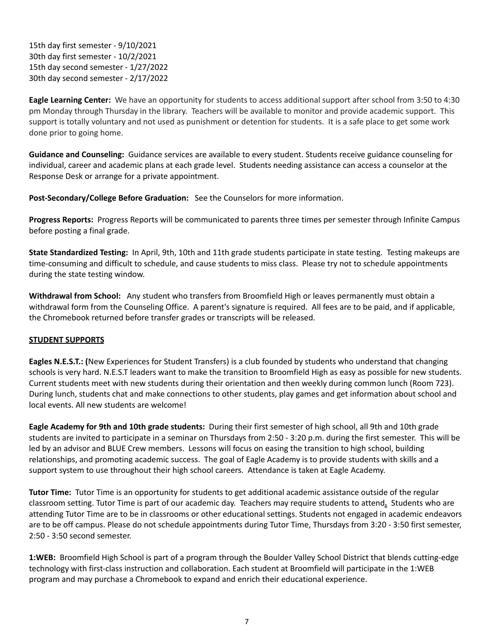15th day first semester - 9/10/2021 30th day first semester - 10/2/2021 15th day second semester - 1/27/2022 30th day second semester - 2/17/2022

**Eagle Learning Center:** We have an opportunity for students to access additional support after school from 3:50 to 4:30 pm Monday through Thursday in the library. Teachers will be available to monitor and provide academic support. This support is totally voluntary and not used as punishment or detention for students. It is a safe place to get some work done prior to going home.

**Guidance and Counseling:** Guidance services are available to every student. Students receive guidance counseling for individual, career and academic plans at each grade level. Students needing assistance can access a counselor at the Response Desk or arrange for a private appointment.

**Post-Secondary/College Before Graduation:** See the Counselors for more information.

**Progress Reports:** Progress Reports will be communicated to parents three times per semester through Infinite Campus before posting a final grade.

**State Standardized Testing:** In April, 9th, 10th and 11th grade students participate in state testing. Testing makeups are time-consuming and difficult to schedule, and cause students to miss class. Please try not to schedule appointments during the state testing window.

**Withdrawal from School:** Any student who transfers from Broomfield High or leaves permanently must obtain a withdrawal form from the Counseling Office. A parent's signature is required. All fees are to be paid, and if applicable, the Chromebook returned before transfer grades or transcripts will be released.

## **STUDENT SUPPORTS**

**Eagles N.E.S.T.: (**New Experiences for Student Transfers) is a club founded by students who understand that changing schools is very hard. N.E.S.T leaders want to make the transition to Broomfield High as easy as possible for new students. Current students meet with new students during their orientation and then weekly during common lunch (Room 723). During lunch, students chat and make connections to other students, play games and get information about school and local events. All new students are welcome!

**Eagle Academy for 9th and 10th grade students:** During their first semester of high school, all 9th and 10th grade students are invited to participate in a seminar on Thursdays from 2:50 - 3:20 p.m. during the first semester. This will be led by an advisor and BLUE Crew members. Lessons will focus on easing the transition to high school, building relationships, and promoting academic success. The goal of Eagle Academy is to provide students with skills and a support system to use throughout their high school careers. Attendance is taken at Eagle Academy.

**Tutor Time:** Tutor Time is an opportunity for students to get additional academic assistance outside of the regular classroom setting. Tutor Time is part of our academic day. Teachers may require students to attend**.** Students who are attending Tutor Time are to be in classrooms or other educational settings. Students not engaged in academic endeavors are to be off campus. Please do not schedule appointments during Tutor Time, Thursdays from 3:20 - 3:50 first semester, 2:50 - 3:50 second semester.

**1:WEB:** Broomfield High School is part of a program through the Boulder Valley School District that blends cutting-edge technology with first-class instruction and collaboration. Each student at Broomfield will participate in the 1:WEB program and may purchase a Chromebook to expand and enrich their educational experience.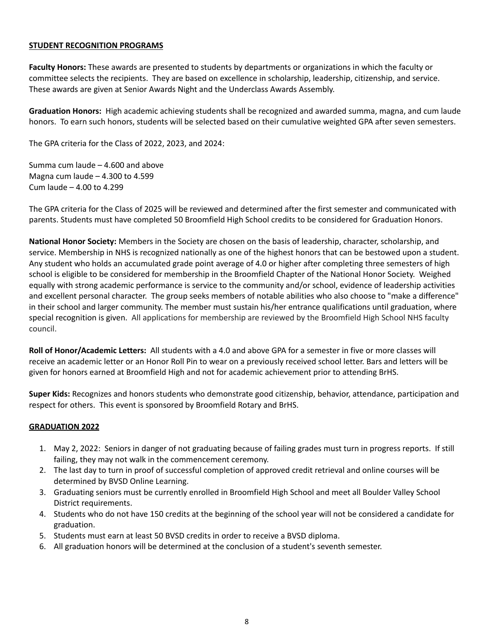#### **STUDENT RECOGNITION PROGRAMS**

**Faculty Honors:** These awards are presented to students by departments or organizations in which the faculty or committee selects the recipients. They are based on excellence in scholarship, leadership, citizenship, and service. These awards are given at Senior Awards Night and the Underclass Awards Assembly.

**Graduation Honors:** High academic achieving students shall be recognized and awarded summa, magna, and cum laude honors. To earn such honors, students will be selected based on their cumulative weighted GPA after seven semesters.

The GPA criteria for the Class of 2022, 2023, and 2024:

Summa cum laude – 4.600 and above Magna cum laude – 4.300 to 4.599 Cum laude – 4.00 to 4.299

The GPA criteria for the Class of 2025 will be reviewed and determined after the first semester and communicated with parents. Students must have completed 50 Broomfield High School credits to be considered for Graduation Honors.

**National Honor Society:** Members in the Society are chosen on the basis of leadership, character, scholarship, and service. Membership in NHS is recognized nationally as one of the highest honors that can be bestowed upon a student. Any student who holds an accumulated grade point average of 4.0 or higher after completing three semesters of high school is eligible to be considered for membership in the Broomfield Chapter of the National Honor Society. Weighed equally with strong academic performance is service to the community and/or school, evidence of leadership activities and excellent personal character. The group seeks members of notable abilities who also choose to "make a difference" in their school and larger community. The member must sustain his/her entrance qualifications until graduation, where special recognition is given. All applications for membership are reviewed by the Broomfield High School NHS faculty council.

**Roll of Honor/Academic Letters:** All students with a 4.0 and above GPA for a semester in five or more classes will receive an academic letter or an Honor Roll Pin to wear on a previously received school letter. Bars and letters will be given for honors earned at Broomfield High and not for academic achievement prior to attending BrHS.

**Super Kids:** Recognizes and honors students who demonstrate good citizenship, behavior, attendance, participation and respect for others. This event is sponsored by Broomfield Rotary and BrHS.

## **GRADUATION 2022**

- 1. May 2, 2022: Seniors in danger of not graduating because of failing grades must turn in progress reports. If still failing, they may not walk in the commencement ceremony.
- 2. The last day to turn in proof of successful completion of approved credit retrieval and online courses will be determined by BVSD Online Learning.
- 3. Graduating seniors must be currently enrolled in Broomfield High School and meet all Boulder Valley School District requirements.
- 4. Students who do not have 150 credits at the beginning of the school year will not be considered a candidate for graduation.
- 5. Students must earn at least 50 BVSD credits in order to receive a BVSD diploma.
- 6. All graduation honors will be determined at the conclusion of a student's seventh semester.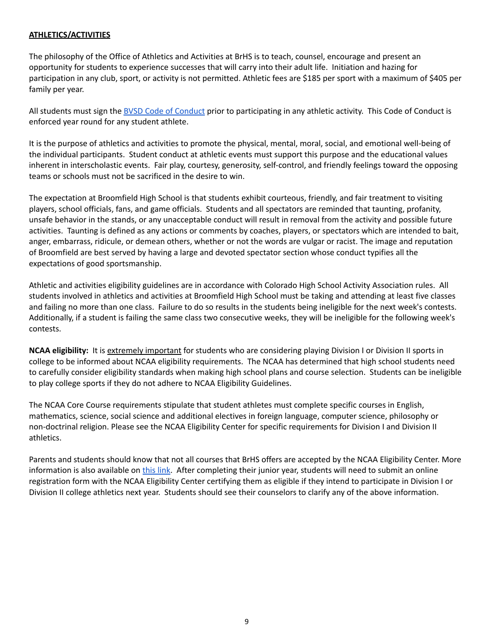## **ATHLETICS/ACTIVITIES**

The philosophy of the Office of Athletics and Activities at BrHS is to teach, counsel, encourage and present an opportunity for students to experience successes that will carry into their adult life. Initiation and hazing for participation in any club, sport, or activity is not permitted. Athletic fees are \$185 per sport with a maximum of \$405 per family per year.

All students must sign the BVSD Code of [Conduct](https://www.bvsd.org/departments/athletics-and-activities/high-school-athletics) prior to participating in any athletic activity. This Code of Conduct is enforced year round for any student athlete.

It is the purpose of athletics and activities to promote the physical, mental, moral, social, and emotional well-being of the individual participants. Student conduct at athletic events must support this purpose and the educational values inherent in interscholastic events. Fair play, courtesy, generosity, self-control, and friendly feelings toward the opposing teams or schools must not be sacrificed in the desire to win.

The expectation at Broomfield High School is that students exhibit courteous, friendly, and fair treatment to visiting players, school officials, fans, and game officials. Students and all spectators are reminded that taunting, profanity, unsafe behavior in the stands, or any unacceptable conduct will result in removal from the activity and possible future activities. Taunting is defined as any actions or comments by coaches, players, or spectators which are intended to bait, anger, embarrass, ridicule, or demean others, whether or not the words are vulgar or racist. The image and reputation of Broomfield are best served by having a large and devoted spectator section whose conduct typifies all the expectations of good sportsmanship.

Athletic and activities eligibility guidelines are in accordance with Colorado High School Activity Association rules. All students involved in athletics and activities at Broomfield High School must be taking and attending at least five classes and failing no more than one class. Failure to do so results in the students being ineligible for the next week's contests. Additionally, if a student is failing the same class two consecutive weeks, they will be ineligible for the following week's contests.

**NCAA eligibility:** It is extremely important for students who are considering playing Division I or Division II sports in college to be informed about NCAA eligibility requirements. The NCAA has determined that high school students need to carefully consider eligibility standards when making high school plans and course selection. Students can be ineligible to play college sports if they do not adhere to NCAA Eligibility Guidelines.

The NCAA Core Course requirements stipulate that student athletes must complete specific courses in English, mathematics, science, social science and additional electives in foreign language, computer science, philosophy or non-doctrinal religion. Please see the NCAA Eligibility Center for specific requirements for Division I and Division II athletics.

Parents and students should know that not all courses that BrHS offers are accepted by the NCAA Eligibility Center. More information is also available on [this](http://www.eligibilitycenter.org/) link. After completing their junior year, students will need to submit an online registration form with the NCAA Eligibility Center certifying them as eligible if they intend to participate in Division I or Division II college athletics next year. Students should see their counselors to clarify any of the above information.